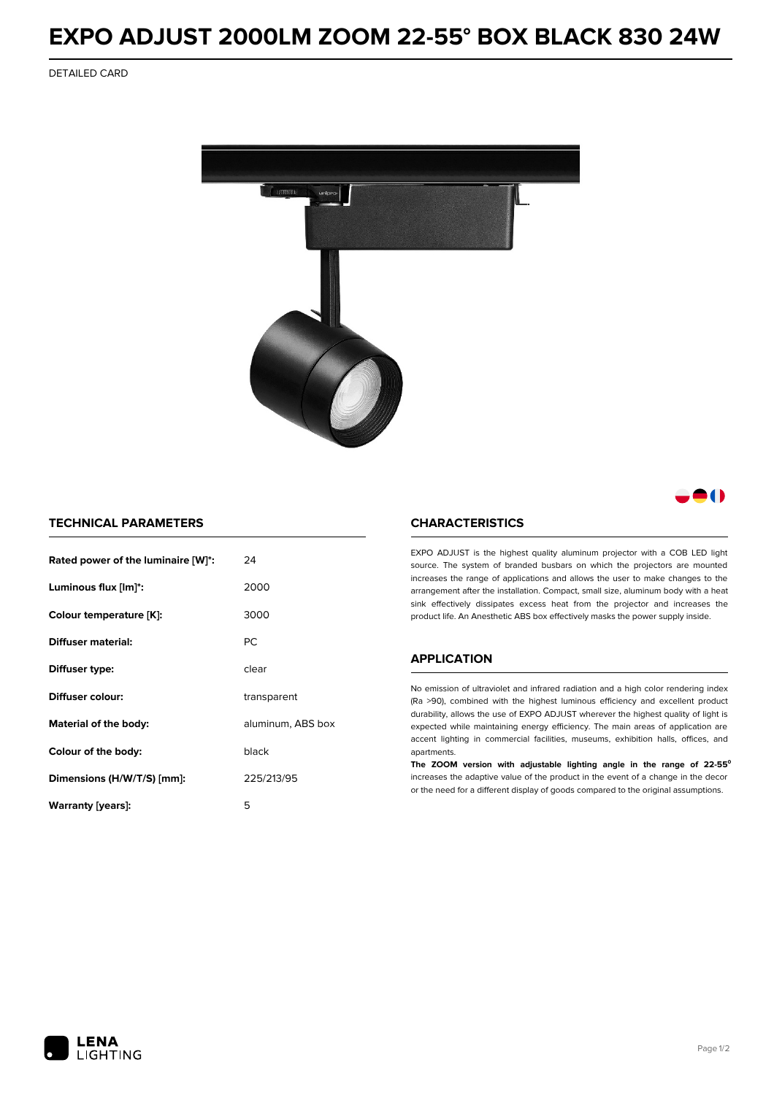# **EXPO ADJUST 2000LM ZOOM 22-55° BOX BLACK 830 24W**

DETAILED CARD



# 80

### **TECHNICAL PARAMETERS**

| Rated power of the luminaire [W]*: | 24                |  |
|------------------------------------|-------------------|--|
| Luminous flux [lm]*:               | 2000              |  |
| Colour temperature [K]:            | 3000              |  |
| Diffuser material:                 | PC.               |  |
| Diffuser type:                     | clear             |  |
| Diffuser colour:                   | transparent       |  |
| Material of the body:              | aluminum, ABS box |  |
| Colour of the body:                | black             |  |
| Dimensions (H/W/T/S) [mm]:         | 225/213/95        |  |
| Warranty [years]:                  | 5                 |  |

#### **CHARACTERISTICS**

EXPO ADJUST is the highest quality aluminum projector with a COB LED light source. The system of branded busbars on which the projectors are mounted increases the range of applications and allows the user to make changes to the arrangement after the installation. Compact, small size, aluminum body with a heat sink effectively dissipates excess heat from the projector and increases the product life. An Anesthetic ABS box effectively masks the power supply inside.

## **APPLICATION**

No emission of ultraviolet and infrared radiation and a high color rendering index (Ra >90), combined with the highest luminous efficiency and excellent product durability, allows the use of EXPO ADJUST wherever the highest quality of light is expected while maintaining energy efficiency. The main areas of application are accent lighting in commercial facilities, museums, exhibition halls, offices, and apartments.

**The ZOOM version with adjustable lighting angle in the range of 22-55⁰** increases the adaptive value of the product in the event of a change in the decor or the need for a different display of goods compared to the original assumptions.